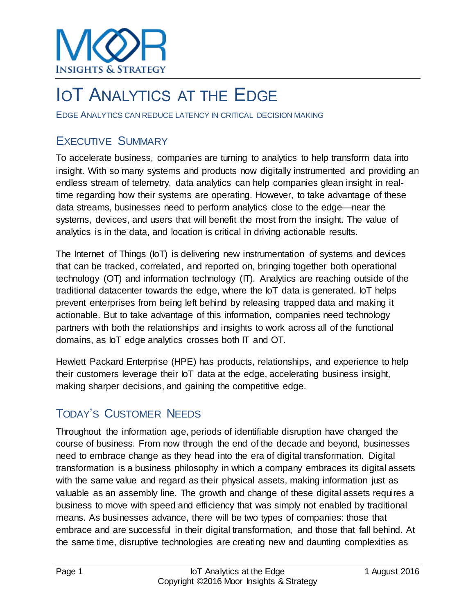

## **IOT ANALYTICS AT THE EDGE**

EDGE ANALYTICS CAN REDUCE LATENCY IN CRITICAL DECISION MAKING

### EXECUTIVE SUMMARY

To accelerate business, companies are turning to analytics to help transform data into insight. With so many systems and products now digitally instrumented and providing an endless stream of telemetry, data analytics can help companies glean insight in realtime regarding how their systems are operating. However, to take advantage of these data streams, businesses need to perform analytics close to the edge—near the systems, devices, and users that will benefit the most from the insight. The value of analytics is in the data, and location is critical in driving actionable results.

The Internet of Things (IoT) is delivering new instrumentation of systems and devices that can be tracked, correlated, and reported on, bringing together both operational technology (OT) and information technology (IT). Analytics are reaching outside of the traditional datacenter towards the edge, where the IoT data is generated. IoT helps prevent enterprises from being left behind by releasing trapped data and making it actionable. But to take advantage of this information, companies need technology partners with both the relationships and insights to work across all of the functional domains, as IoT edge analytics crosses both IT and OT.

Hewlett Packard Enterprise (HPE) has products, relationships, and experience to help their customers leverage their IoT data at the edge, accelerating business insight, making sharper decisions, and gaining the competitive edge.

## TODAY'S CUSTOMER NEEDS

Throughout the information age, periods of identifiable disruption have changed the course of business. From now through the end of the decade and beyond, businesses need to embrace change as they head into the era of digital transformation. Digital transformation is a business philosophy in which a company embraces its digital assets with the same value and regard as their physical assets, making information just as valuable as an assembly line. The growth and change of these digital assets requires a business to move with speed and efficiency that was simply not enabled by traditional means. As businesses advance, there will be two types of companies: those that embrace and are successful in their digital transformation, and those that fall behind. At the same time, disruptive technologies are creating new and daunting complexities as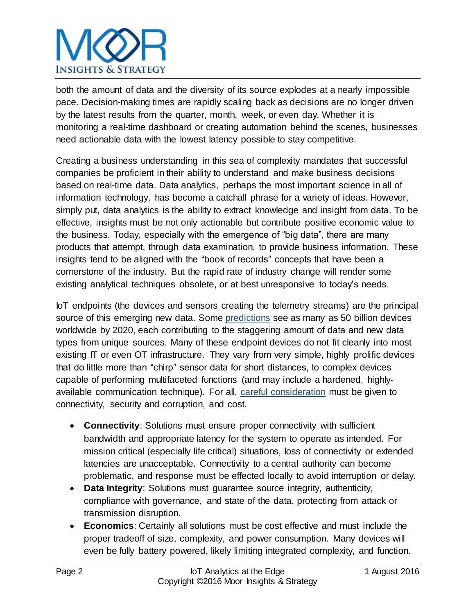

both the amount of data and the diversity of its source explodes at a nearly impossible pace. Decision-making times are rapidly scaling back as decisions are no longer driven by the latest results from the quarter, month, week, or even day. Whether it is monitoring a real-time dashboard or creating automation behind the scenes, businesses need actionable data with the lowest latency possible to stay competitive.

Creating a business understanding in this sea of complexity mandates that successful companies be proficient in their ability to understand and make business decisions based on real-time data. Data analytics, perhaps the most important science in all of information technology, has become a catchall phrase for a variety of ideas. However, simply put, data analytics is the ability to extract knowledge and insight from data. To be effective, insights must be not only actionable but contribute positive economic value to the business. Today, especially with the emergence of "big data", there are many products that attempt, through data examination, to provide business information. These insights tend to be aligned with the "book of records" concepts that have been a cornerstone of the industry. But the rapid rate of industry change will render some existing analytical techniques obsolete, or at best unresponsive to today's needs.

IoT endpoints (the devices and sensors creating the telemetry streams) are the principal source of this emerging new data. Some [predictions](http://www.dhl.com/content/dam/Local_Images/g0/New_aboutus/innovation/DHLTrendReport_Internet_of_things.pdf) see as many as 50 billion devices worldwide by 2020, each contributing to the staggering amount of data and new data types from unique sources. Many of these endpoint devices do not fit cleanly into most existing IT or even OT infrastructure. They vary from very simple, highly prolific devices that do little more than "chirp" sensor data for short distances, to complex devices capable of performing multifaceted functions (and may include a hardened, highlyavailable communication technique). For all, [careful consideration](https://www.hpe.com/us/en/newsroom/news-archive/featured-article/2016/06/7-Reasons-Why-We-Need-to-Compute-at-the-Edge.html) must be given to connectivity, security and corruption, and cost.

- **Connectivity**: Solutions must ensure proper connectivity with sufficient bandwidth and appropriate latency for the system to operate as intended. For mission critical (especially life critical) situations, loss of connectivity or extended latencies are unacceptable. Connectivity to a central authority can become problematic, and response must be effected locally to avoid interruption or delay.
- **Data Integrity**: Solutions must guarantee source integrity, authenticity, compliance with governance, and state of the data, protecting from attack or transmission disruption.
- **Economics**: Certainly all solutions must be cost effective and must include the proper tradeoff of size, complexity, and power consumption. Many devices will even be fully battery powered, likely limiting integrated complexity, and function.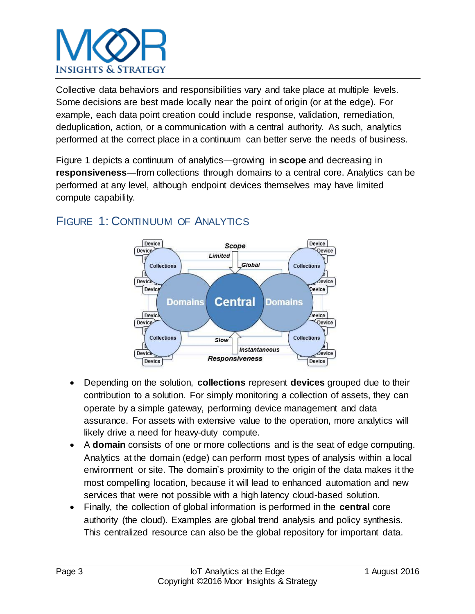

Collective data behaviors and responsibilities vary and take place at multiple levels. Some decisions are best made locally near the point of origin (or at the edge). For example, each data point creation could include response, validation, remediation, deduplication, action, or a communication with a central authority. As such, analytics performed at the correct place in a continuum can better serve the needs of business.

Figure 1 depicts a continuum of analytics—growing in **scope** and decreasing in **responsiveness**—from collections through domains to a central core. Analytics can be performed at any level, although endpoint devices themselves may have limited compute capability.



## FIGURE 1: CONTINUUM OF ANALYTICS

- Depending on the solution, **collections** represent **devices** grouped due to their contribution to a solution. For simply monitoring a collection of assets, they can operate by a simple gateway, performing device management and data assurance. For assets with extensive value to the operation, more analytics will likely drive a need for heavy-duty compute.
- A **domain** consists of one or more collections and is the seat of edge computing. Analytics at the domain (edge) can perform most types of analysis within a local environment or site. The domain's proximity to the origin of the data makes it the most compelling location, because it will lead to enhanced automation and new services that were not possible with a high latency cloud-based solution.
- Finally, the collection of global information is performed in the **central** core authority (the cloud). Examples are global trend analysis and policy synthesis. This centralized resource can also be the global repository for important data.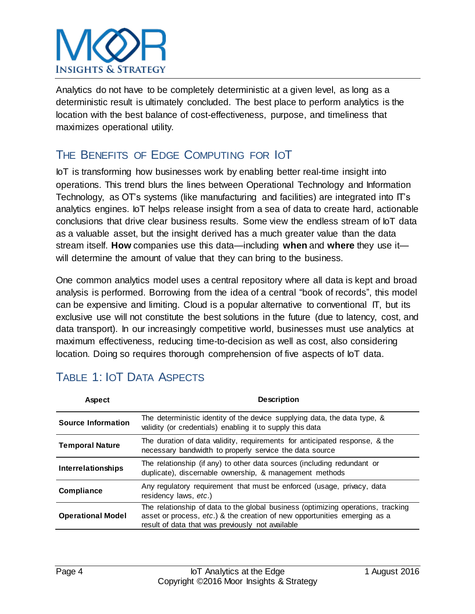

Analytics do not have to be completely deterministic at a given level, as long as a deterministic result is ultimately concluded. The best place to perform analytics is the location with the best balance of cost-effectiveness, purpose, and timeliness that maximizes operational utility.

## THE BENEFITS OF EDGE COMPUTING FOR IOT

IoT is transforming how businesses work by enabling better real-time insight into operations. This trend blurs the lines between Operational Technology and Information Technology, as OT's systems (like manufacturing and facilities) are integrated into IT's analytics engines. IoT helps release insight from a sea of data to create hard, actionable conclusions that drive clear business results. Some view the endless stream of IoT data as a valuable asset, but the insight derived has a much greater value than the data stream itself. **How** companies use this data—including **when** and **where** they use it will determine the amount of value that they can bring to the business.

One common analytics model uses a central repository where all data is kept and broad analysis is performed. Borrowing from the idea of a central "book of records", this model can be expensive and limiting. Cloud is a popular alternative to conventional IT, but its exclusive use will not constitute the best solutions in the future (due to latency, cost, and data transport). In our increasingly competitive world, businesses must use analytics at maximum effectiveness, reducing time-to-decision as well as cost, also considering location. Doing so requires thorough comprehension of five aspects of IoT data.

| <b>Aspect</b>             | <b>Description</b>                                                                                                                                                                                                |
|---------------------------|-------------------------------------------------------------------------------------------------------------------------------------------------------------------------------------------------------------------|
| <b>Source Information</b> | The deterministic identity of the device supplying data, the data type, &<br>validity (or credentials) enabling it to supply this data                                                                            |
| <b>Temporal Nature</b>    | The duration of data validity, requirements for anticipated response, & the<br>necessary bandwidth to properly service the data source                                                                            |
| <b>Interrelationships</b> | The relationship (if any) to other data sources (including redundant or<br>duplicate), discernable ownership, & management methods                                                                                |
| Compliance                | Any regulatory requirement that must be enforced (usage, privacy, data<br>residency laws, etc.)                                                                                                                   |
| <b>Operational Model</b>  | The relationship of data to the global business (optimizing operations, tracking<br>asset or process, etc.) & the creation of new opportunities emerging as a<br>result of data that was previously not available |

## TABLE 1: IOT DATA ASPECTS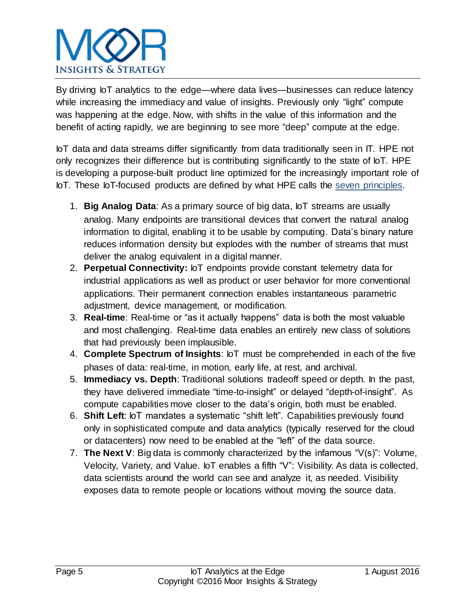## **INSIGHTS & STRATEGY**

By driving IoT analytics to the edge—where data lives—businesses can reduce latency while increasing the immediacy and value of insights. Previously only "light" compute was happening at the edge. Now, with shifts in the value of this information and the benefit of acting rapidly, we are beginning to see more "deep" compute at the edge.

IoT data and data streams differ significantly from data traditionally seen in IT. HPE not only recognizes their difference but is contributing significantly to the state of IoT. HPE is developing a purpose-built product line optimized for the increasingly important role of IoT. These IoT-focused products are defined by what HPE calls the [seven principles.](http://blog.iiconsortium.org/2015/07/the-7-principles-of-the-internet-of-things-iot.html)

- 1. **Big Analog Data**: As a primary source of big data, IoT streams are usually analog. Many endpoints are transitional devices that convert the natural analog information to digital, enabling it to be usable by computing. Data's binary nature reduces information density but explodes with the number of streams that must deliver the analog equivalent in a digital manner.
- 2. **Perpetual Connectivity:** IoT endpoints provide constant telemetry data for industrial applications as well as product or user behavior for more conventional applications. Their permanent connection enables instantaneous parametric adjustment, device management, or modification.
- 3. **Real-time**: Real-time or "as it actually happens" data is both the most valuable and most challenging. Real-time data enables an entirely new class of solutions that had previously been implausible.
- 4. **Complete Spectrum of Insights**: IoT must be comprehended in each of the five phases of data: real-time, in motion, early life, at rest, and archival.
- 5. **Immediacy vs. Depth**: Traditional solutions tradeoff speed or depth. In the past, they have delivered immediate "time-to-insight" or delayed "depth-of-insight". As compute capabilities move closer to the data's origin, both must be enabled.
- 6. **Shift Left**: IoT mandates a systematic "shift left". Capabilities previously found only in sophisticated compute and data analytics (typically reserved for the cloud or datacenters) now need to be enabled at the "left" of the data source.
- 7. **The Next V**: Big data is commonly characterized by the infamous "V(s)": Volume, Velocity, Variety, and Value. IoT enables a fifth "V": Visibility. As data is collected, data scientists around the world can see and analyze it, as needed. Visibility exposes data to remote people or locations without moving the source data.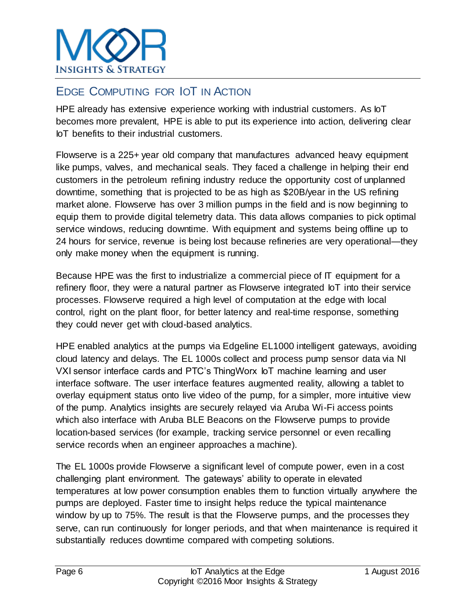

### EDGE COMPUTING FOR IOT IN ACTION

HPE already has extensive experience working with industrial customers. As IoT becomes more prevalent, HPE is able to put its experience into action, delivering clear IoT benefits to their industrial customers.

Flowserve is a 225+ year old company that manufactures advanced heavy equipment like pumps, valves, and mechanical seals. They faced a challenge in helping their end customers in the petroleum refining industry reduce the opportunity cost of unplanned downtime, something that is projected to be as high as \$20B/year in the US refining market alone. Flowserve has over 3 million pumps in the field and is now beginning to equip them to provide digital telemetry data. This data allows companies to pick optimal service windows, reducing downtime. With equipment and systems being offline up to 24 hours for service, revenue is being lost because refineries are very operational—they only make money when the equipment is running.

Because HPE was the first to industrialize a commercial piece of IT equipment for a refinery floor, they were a natural partner as Flowserve integrated IoT into their service processes. Flowserve required a high level of computation at the edge with local control, right on the plant floor, for better latency and real-time response, something they could never get with cloud-based analytics.

HPE enabled analytics at the pumps via Edgeline EL1000 intelligent gateways, avoiding cloud latency and delays. The EL 1000s collect and process pump sensor data via NI VXI sensor interface cards and PTC's ThingWorx IoT machine learning and user interface software. The user interface features augmented reality, allowing a tablet to overlay equipment status onto live video of the pump, for a simpler, more intuitive view of the pump. Analytics insights are securely relayed via Aruba Wi-Fi access points which also interface with Aruba BLE Beacons on the Flowserve pumps to provide location-based services (for example, tracking service personnel or even recalling service records when an engineer approaches a machine).

The EL 1000s provide Flowserve a significant level of compute power, even in a cost challenging plant environment. The gateways' ability to operate in elevated temperatures at low power consumption enables them to function virtually anywhere the pumps are deployed. Faster time to insight helps reduce the typical maintenance window by up to 75%. The result is that the Flowserve pumps, and the processes they serve, can run continuously for longer periods, and that when maintenance is required it substantially reduces downtime compared with competing solutions.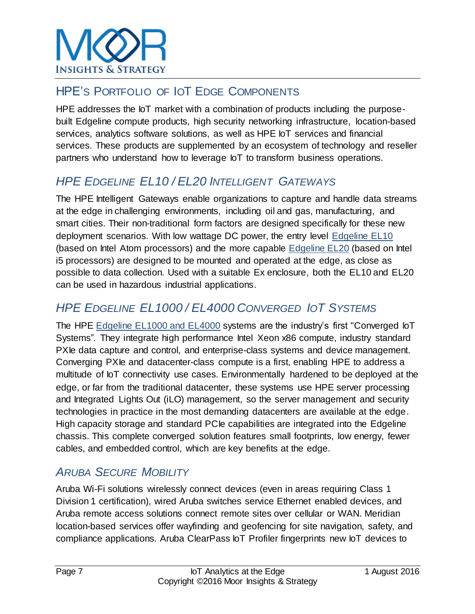

### HPE'S PORTFOLIO OF IOT EDGE COMPONENTS

HPE addresses the IoT market with a combination of products including the purposebuilt Edgeline compute products, high security networking infrastructure, location-based services, analytics software solutions, as well as HPE IoT services and financial services. These products are supplemented by an ecosystem of technology and reseller partners who understand how to leverage IoT to transform business operations.

## *HPE EDGELINE EL10 / EL20 INTELLIGENT GATEWAYS*

The HPE Intelligent Gateways enable organizations to capture and handle data streams at the edge in challenging environments, including oil and gas, manufacturing, and smart cities. Their non-traditional form factors are designed specifically for these new deployment scenarios. With low wattage DC power, the entry level [Edgeline EL10](http://www8.hp.com/us/en/products/server-edgeline/product-detail.html?oid=1008670386) (based on Intel Atom processors) and the more capable [Edgeline EL20](http://www8.hp.com/us/en/products/server-edgeline/product-detail.html?oid=1008670391) (based on Intel i5 processors) are designed to be mounted and operated at the edge, as close as possible to data collection. Used with a suitable Ex enclosure, both the EL10 and EL20 can be used in hazardous industrial applications.

### *HPE EDGELINE EL1000 / EL4000 CONVERGED IOT SYSTEMS*

The HPE [Edgeline EL1000 and EL4000](https://www.hpe.com/h20195/v2/GetPDF.aspx/4AA6-6095ENN.pdf) systems are the industry's first "Converged IoT Systems"*.* They integrate high performance Intel Xeon x86 compute, industry standard PXIe data capture and control, and enterprise-class systems and device management. Converging PXIe and datacenter-class compute is a first, enabling HPE to address a multitude of IoT connectivity use cases. Environmentally hardened to be deployed at the edge, or far from the traditional datacenter, these systems use HPE server processing and Integrated Lights Out (iLO) management, so the server management and security technologies in practice in the most demanding datacenters are available at the edge. High capacity storage and standard PCIe capabilities are integrated into the Edgeline chassis. This complete converged solution features small footprints, low energy, fewer cables, and embedded control, which are key benefits at the edge.

### *ARUBA SECURE MOBILITY*

Aruba Wi-Fi solutions wirelessly connect devices (even in areas requiring Class 1 Division 1 certification), wired Aruba switches service Ethernet enabled devices, and Aruba remote access solutions connect remote sites over cellular or WAN. Meridian location-based services offer wayfinding and geofencing for site navigation, safety, and compliance applications. Aruba ClearPass IoT Profiler fingerprints new IoT devices to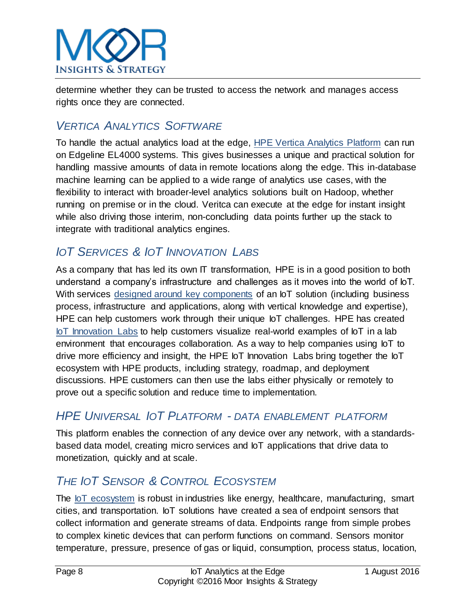

determine whether they can be trusted to access the network and manages access rights once they are connected.

### *VERTICA ANALYTICS SOFTWARE*

To handle the actual analytics load at the edge, [HPE Vertica Analytics Platform](http://www8.hp.com/us/en/software-solutions/advanced-sql-big-data-analytics/) can run on Edgeline EL4000 systems. This gives businesses a unique and practical solution for handling massive amounts of data in remote locations along the edge. This in-database machine learning can be applied to a wide range of analytics use cases, with the flexibility to interact with broader-level analytics solutions built on Hadoop, whether running on premise or in the cloud. Veritca can execute at the edge for instant insight while also driving those interim, non-concluding data points further up the stack to integrate with traditional analytics engines.

## *IOT SERVICES & IOT INNOVATION LABS*

As a company that has led its own IT transformation, HPE is in a good position to both understand a company's infrastructure and challenges as it moves into the world of IoT. With services [designed around key components](https://www.hpe.com/us/en/services/consulting.html) of an IoT solution (including business process, infrastructure and applications, along with vertical knowledge and expertise), HPE can help customers work through their unique IoT challenges. HPE has created [IoT Innovation Labs](https://www.hpe.com/us/en/servers/global-innovation-lab.html) to help customers visualize real-world examples of IoT in a lab environment that encourages collaboration. As a way to help companies using IoT to drive more efficiency and insight, the HPE IoT Innovation Labs bring together the IoT ecosystem with HPE products, including strategy, roadmap, and deployment discussions. HPE customers can then use the labs either physically or remotely to prove out a specific solution and reduce time to implementation.

### *HPE UNIVERSAL IOT PLATFORM - DATA ENABLEMENT PLATFORM*

This platform enables the connection of any device over any network, with a standardsbased data model, creating micro services and IoT applications that drive data to monetization, quickly and at scale.

## *THE IOT SENSOR & CONTROL ECOSYSTEM*

The [IoT ecosystem](http://www.iiconsortium.org/) is robust in industries like energy, healthcare, manufacturing, smart cities, and transportation. IoT solutions have created a sea of endpoint sensors that collect information and generate streams of data. Endpoints range from simple probes to complex kinetic devices that can perform functions on command. Sensors monitor temperature, pressure, presence of gas or liquid, consumption, process status, location,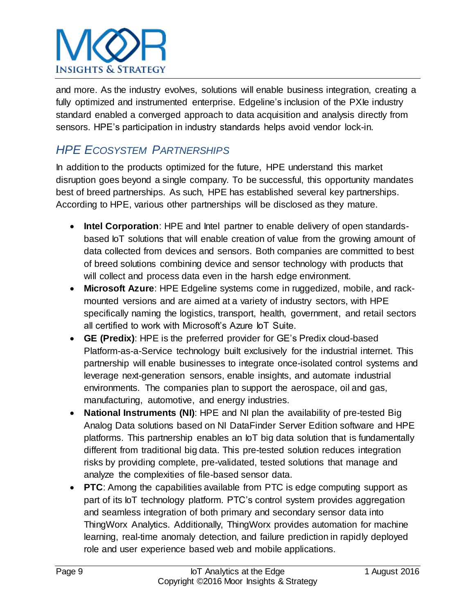# **INSIGHTS & STRATEGY**

and more. As the industry evolves, solutions will enable business integration, creating a fully optimized and instrumented enterprise. Edgeline's inclusion of the PXIe industry standard enabled a converged approach to data acquisition and analysis directly from sensors. HPE's participation in industry standards helps avoid vendor lock-in.

## *HPE ECOSYSTEM PARTNERSHIPS*

In addition to the products optimized for the future, HPE understand this market disruption goes beyond a single company. To be successful, this opportunity mandates best of breed partnerships. As such, HPE has established several key partnerships. According to HPE, various other partnerships will be disclosed as they mature.

- **Intel Corporation**: HPE and Intel partner to enable delivery of open standardsbased IoT solutions that will enable creation of value from the growing amount of data collected from devices and sensors. Both companies are committed to best of breed solutions combining device and sensor technology with products that will collect and process data even in the harsh edge environment.
- **Microsoft Azure**: HPE Edgeline systems come in ruggedized, mobile, and rackmounted versions and are aimed at a variety of industry sectors, with HPE specifically naming the logistics, transport, health, government, and retail sectors all certified to work with Microsoft's Azure IoT Suite.
- **GE (Predix)**: HPE is the preferred provider for GE's Predix cloud-based Platform-as-a-Service technology built exclusively for the industrial internet. This partnership will enable businesses to integrate once-isolated control systems and leverage next-generation sensors, enable insights, and automate industrial environments. The companies plan to support the aerospace, oil and gas, manufacturing, automotive, and energy industries.
- **National Instruments (NI)**: HPE and NI plan the availability of pre-tested Big Analog Data solutions based on NI DataFinder Server Edition software and HPE platforms. This partnership enables an IoT big data solution that is fundamentally different from traditional big data. This pre-tested solution reduces integration risks by providing complete, pre-validated, tested solutions that manage and analyze the complexities of file-based sensor data.
- **PTC**: Among the capabilities available from PTC is edge computing support as part of its IoT technology platform. PTC's control system provides aggregation and seamless integration of both primary and secondary sensor data into ThingWorx Analytics. Additionally, ThingWorx provides automation for machine learning, real-time anomaly detection, and failure prediction in rapidly deployed role and user experience based web and mobile applications.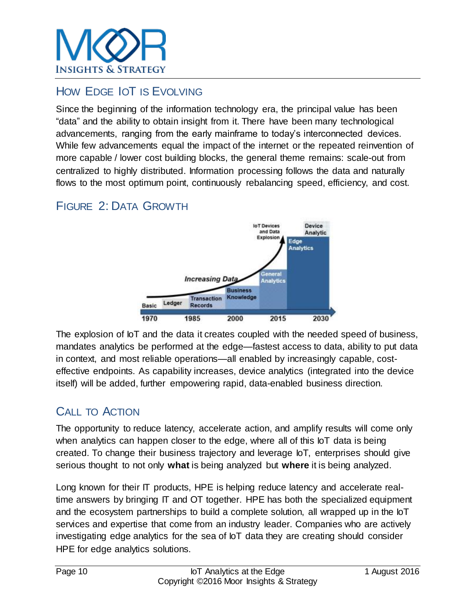

### HOW EDGE IOT IS EVOLVING

Since the beginning of the information technology era, the principal value has been "data" and the ability to obtain insight from it. There have been many technological advancements, ranging from the early mainframe to today's interconnected devices. While few advancements equal the impact of the internet or the repeated reinvention of more capable / lower cost building blocks, the general theme remains: scale-out from centralized to highly distributed. Information processing follows the data and naturally flows to the most optimum point, continuously rebalancing speed, efficiency, and cost.

### FIGURE 2: DATA GROWTH



The explosion of loT and the data it creates coupled with the needed speed of business, mandates analytics be performed at the edge—fastest access to data, ability to put data in context, and most reliable operations—all enabled by increasingly capable, costeffective endpoints. As capability increases, device analytics (integrated into the device itself) will be added, further empowering rapid, data-enabled business direction.

### CALL TO ACTION

The opportunity to reduce latency, accelerate action, and amplify results will come only when analytics can happen closer to the edge, where all of this IoT data is being created. To change their business trajectory and leverage IoT, enterprises should give serious thought to not only **what** is being analyzed but **where** it is being analyzed.

Long known for their IT products, HPE is helping reduce latency and accelerate realtime answers by bringing IT and OT together. HPE has both the specialized equipment and the ecosystem partnerships to build a complete solution, all wrapped up in the IoT services and expertise that come from an industry leader. Companies who are actively investigating edge analytics for the sea of IoT data they are creating should consider HPE for edge analytics solutions.